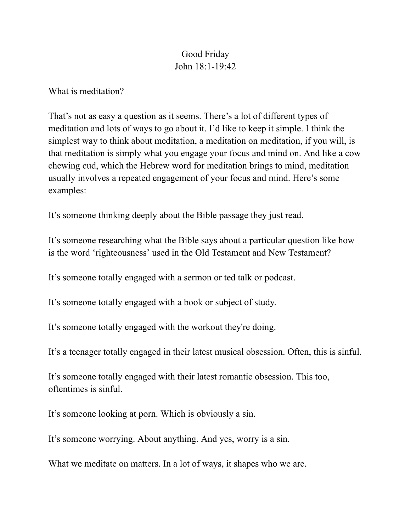## Good Friday John 18:1-19:42

What is meditation?

That's not as easy a question as it seems. There's a lot of different types of meditation and lots of ways to go about it. I'd like to keep it simple. I think the simplest way to think about meditation, a meditation on meditation, if you will, is that meditation is simply what you engage your focus and mind on. And like a cow chewing cud, which the Hebrew word for meditation brings to mind, meditation usually involves a repeated engagement of your focus and mind. Here's some examples:

It's someone thinking deeply about the Bible passage they just read.

It's someone researching what the Bible says about a particular question like how is the word 'righteousness' used in the Old Testament and New Testament?

It's someone totally engaged with a sermon or ted talk or podcast.

It's someone totally engaged with a book or subject of study.

It's someone totally engaged with the workout they're doing.

It's a teenager totally engaged in their latest musical obsession. Often, this is sinful.

It's someone totally engaged with their latest romantic obsession. This too, oftentimes is sinful.

It's someone looking at porn. Which is obviously a sin.

It's someone worrying. About anything. And yes, worry is a sin.

What we meditate on matters. In a lot of ways, it shapes who we are.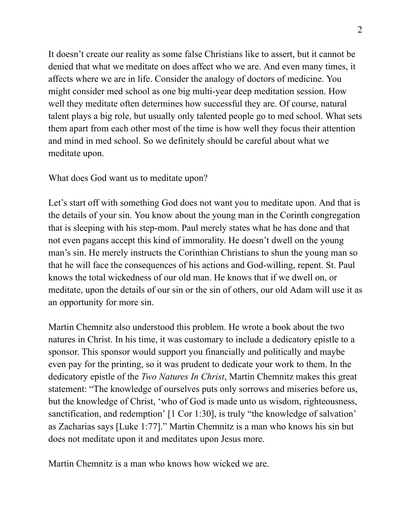It doesn't create our reality as some false Christians like to assert, but it cannot be denied that what we meditate on does affect who we are. And even many times, it affects where we are in life. Consider the analogy of doctors of medicine. You might consider med school as one big multi-year deep meditation session. How well they meditate often determines how successful they are. Of course, natural talent plays a big role, but usually only talented people go to med school. What sets them apart from each other most of the time is how well they focus their attention and mind in med school. So we definitely should be careful about what we meditate upon.

What does God want us to meditate upon?

Let's start off with something God does not want you to meditate upon. And that is the details of your sin. You know about the young man in the Corinth congregation that is sleeping with his step-mom. Paul merely states what he has done and that not even pagans accept this kind of immorality. He doesn't dwell on the young man's sin. He merely instructs the Corinthian Christians to shun the young man so that he will face the consequences of his actions and God-willing, repent. St. Paul knows the total wickedness of our old man. He knows that if we dwell on, or meditate, upon the details of our sin or the sin of others, our old Adam will use it as an opportunity for more sin.

Martin Chemnitz also understood this problem. He wrote a book about the two natures in Christ. In his time, it was customary to include a dedicatory epistle to a sponsor. This sponsor would support you financially and politically and maybe even pay for the printing, so it was prudent to dedicate your work to them. In the dedicatory epistle of the *Two Natures In Christ*, Martin Chemnitz makes this great statement: "The knowledge of ourselves puts only sorrows and miseries before us, but the knowledge of Christ, 'who of God is made unto us wisdom, righteousness, sanctification, and redemption' [1 Cor 1:30], is truly "the knowledge of salvation' as Zacharias says [Luke 1:77]." Martin Chemnitz is a man who knows his sin but does not meditate upon it and meditates upon Jesus more.

Martin Chemnitz is a man who knows how wicked we are.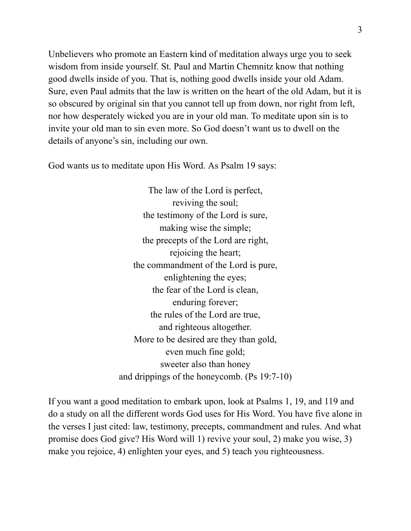Unbelievers who promote an Eastern kind of meditation always urge you to seek wisdom from inside yourself. St. Paul and Martin Chemnitz know that nothing good dwells inside of you. That is, nothing good dwells inside your old Adam. Sure, even Paul admits that the law is written on the heart of the old Adam, but it is so obscured by original sin that you cannot tell up from down, nor right from left, nor how desperately wicked you are in your old man. To meditate upon sin is to invite your old man to sin even more. So God doesn't want us to dwell on the details of anyone's sin, including our own.

God wants us to meditate upon His Word. As Psalm 19 says:

The law of the Lord is perfect, reviving the soul; the testimony of the Lord is sure, making wise the simple; the precepts of the Lord are right, rejoicing the heart; the commandment of the Lord is pure, enlightening the eyes; the fear of the Lord is clean, enduring forever; the rules of the Lord are true, and righteous altogether. More to be desired are they than gold, even much fine gold; sweeter also than honey and drippings of the honeycomb. (Ps 19:7-10)

If you want a good meditation to embark upon, look at Psalms 1, 19, and 119 and do a study on all the different words God uses for His Word. You have five alone in the verses I just cited: law, testimony, precepts, commandment and rules. And what promise does God give? His Word will 1) revive your soul, 2) make you wise, 3) make you rejoice, 4) enlighten your eyes, and 5) teach you righteousness.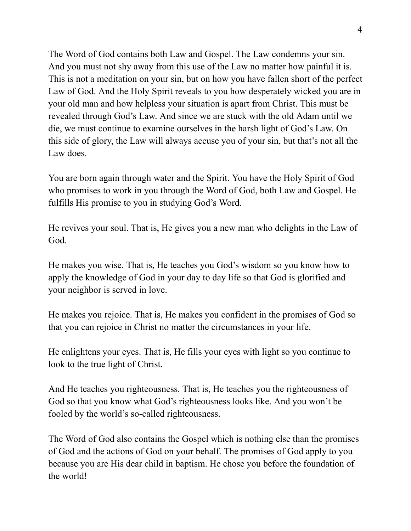The Word of God contains both Law and Gospel. The Law condemns your sin. And you must not shy away from this use of the Law no matter how painful it is. This is not a meditation on your sin, but on how you have fallen short of the perfect Law of God. And the Holy Spirit reveals to you how desperately wicked you are in your old man and how helpless your situation is apart from Christ. This must be revealed through God's Law. And since we are stuck with the old Adam until we die, we must continue to examine ourselves in the harsh light of God's Law. On this side of glory, the Law will always accuse you of your sin, but that's not all the Law does.

You are born again through water and the Spirit. You have the Holy Spirit of God who promises to work in you through the Word of God, both Law and Gospel. He fulfills His promise to you in studying God's Word.

He revives your soul. That is, He gives you a new man who delights in the Law of God.

He makes you wise. That is, He teaches you God's wisdom so you know how to apply the knowledge of God in your day to day life so that God is glorified and your neighbor is served in love.

He makes you rejoice. That is, He makes you confident in the promises of God so that you can rejoice in Christ no matter the circumstances in your life.

He enlightens your eyes. That is, He fills your eyes with light so you continue to look to the true light of Christ.

And He teaches you righteousness. That is, He teaches you the righteousness of God so that you know what God's righteousness looks like. And you won't be fooled by the world's so-called righteousness.

The Word of God also contains the Gospel which is nothing else than the promises of God and the actions of God on your behalf. The promises of God apply to you because you are His dear child in baptism. He chose you before the foundation of the world!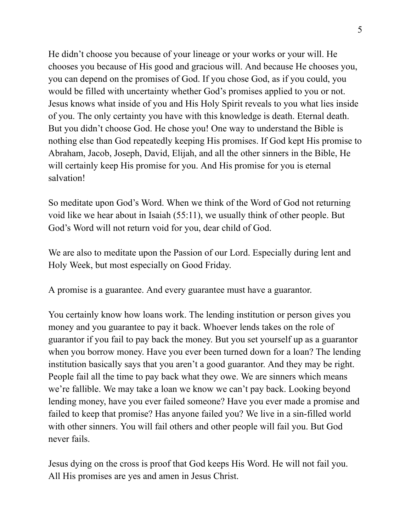He didn't choose you because of your lineage or your works or your will. He chooses you because of His good and gracious will. And because He chooses you, you can depend on the promises of God. If you chose God, as if you could, you would be filled with uncertainty whether God's promises applied to you or not. Jesus knows what inside of you and His Holy Spirit reveals to you what lies inside of you. The only certainty you have with this knowledge is death. Eternal death. But you didn't choose God. He chose you! One way to understand the Bible is nothing else than God repeatedly keeping His promises. If God kept His promise to Abraham, Jacob, Joseph, David, Elijah, and all the other sinners in the Bible, He will certainly keep His promise for you. And His promise for you is eternal salvation!

So meditate upon God's Word. When we think of the Word of God not returning void like we hear about in Isaiah (55:11), we usually think of other people. But God's Word will not return void for you, dear child of God.

We are also to meditate upon the Passion of our Lord. Especially during lent and Holy Week, but most especially on Good Friday.

A promise is a guarantee. And every guarantee must have a guarantor.

You certainly know how loans work. The lending institution or person gives you money and you guarantee to pay it back. Whoever lends takes on the role of guarantor if you fail to pay back the money. But you set yourself up as a guarantor when you borrow money. Have you ever been turned down for a loan? The lending institution basically says that you aren't a good guarantor. And they may be right. People fail all the time to pay back what they owe. We are sinners which means we're fallible. We may take a loan we know we can't pay back. Looking beyond lending money, have you ever failed someone? Have you ever made a promise and failed to keep that promise? Has anyone failed you? We live in a sin-filled world with other sinners. You will fail others and other people will fail you. But God never fails.

Jesus dying on the cross is proof that God keeps His Word. He will not fail you. All His promises are yes and amen in Jesus Christ.